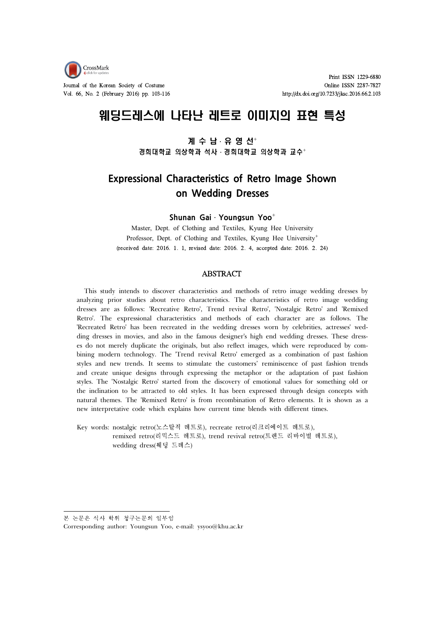

Vol. 66, No. 2 (February 2016) pp. 103-116 http://dx.doi.org/10.7233/jksc.2016.66.2.103

Print ISSN 1229-6880 Journal of the Korean Society of Costume Costume Conservation of the ISSN 2287-7827

# 웨딩드레스에 나타난 레트로 이미지의 표현 특성

# 계 수 남 · 유 영 선<sup>+</sup> 경희대학교 의상학과 석사 · 경희대학교 의상학과 교수+

# **Expressional Characteristics of Retro Image Shown on Wedding Dresses**

**Shunan Gai**ㆍ**Youngsun Yoo**⁺

Master, Dept. of Clothing and Textiles, Kyung Hee University Professor, Dept. of Clothing and Textiles, Kyung Hee University<sup>+</sup> (received date: 2016. 1. 1, revised date: 2016. 2. 4, accepted date: 2016. 2. 24)

#### **ABSTRACT**

This study intends to discover characteristics and methods of retro image wedding dresses by analyzing prior studies about retro characteristics. The characteristics of retro image wedding dresses are as follows: 'Recreative Retro', Trend revival Retro', 'Nostalgic Retro' and 'Remixed Retro'. The expressional characteristics and methods of each character are as follows. The 'Recreated Retro' has been recreated in the wedding dresses worn by celebrities, actresses' wed ding dresses in movies, and also in the famous designer's high end wedding dresses. These dress es do not merely duplicate the originals, but also reflect images, which were reproduced by com bining modern technology. The 'Trend revival Retro' emerged as a combination of past fashion styles and new trends. It seems to stimulate the customers' reminiscence of past fashion trends and create unique designs through expressing the metaphor or the adaptation of past fashion styles. The 'Nostalgic Retro' started from the discovery of emotional values for something old or the inclination to be attracted to old styles. It has been expressed through design concepts with natural themes. The 'Remixed Retro' is from recombination of Retro elements. It is shown as a new interpretative code which explains how current time blends with different times.

Key words: nostalgic retro(노스탈직 레트로), recreate retro(리크리에이트 레트로), remixed retro(리믹스드 레트로), trend revival retro(트렌드 리바이벌 레트로), wedding dress(웨딩 드레스)

본 논문은 석사 학위 청구논문의 일부임

Corresponding author: Youngsun Yoo, e-mail: ysyoo@khu.ac.kr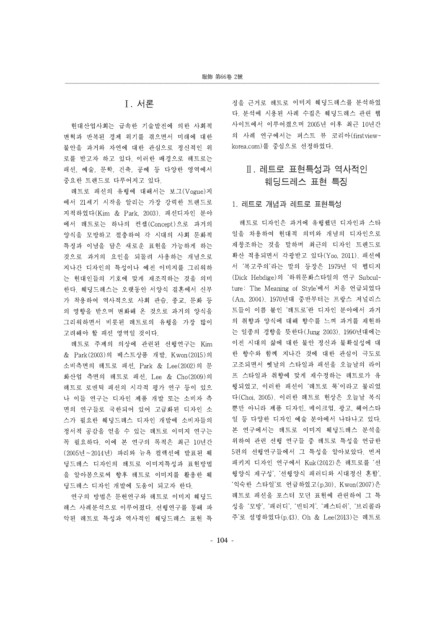# Ⅰ. 서론

현대산업사회는 급속한 기술발전에 의한 사회적 변혁과 반복된 경제 위기를 겪으면서 미래에 대한 불안을 과거와 자연에 대한 관심으로 정신적인 위 로를 받고자 하고 있다. 이러한 배경으로 레트로는 패션, 예술, 문학, 건축, 공예 등 다양한 영역에서 중요한 트렌드로 다루어지고 있다.

레트로 패션의 유행에 대해서는 보그(Vogue)지 에서 21세기 시작을 알리는 가장 강력한 트렌드로 지적하였다(Kim & Park, 2003). 패션디자인 분야 에서 레트로는 하나의 컨셉(Concept)으로 과거의 양식을 모방하고 절충하여 각 시대의 사회 문화적 특징과 이념을 담은 새로운 표현을 가능하게 하는 것으로 과거의 요인을 되돌려 사용하는 개념으로 지나간 디자인의 특성이나 예전 이미지를 그리워하 는 현대인들의 기호에 맞게 재조직하는 것을 의미 한다. 웨딩드레스는 오랫동안 서양식 결혼에서 신부 가 착용하여 역사적으로 사회 관습, 종교, 문화 등 의 영향을 받으며 변화해 온 것으로 과거의 양식을 그리워하면서 비롯된 레트로의 유행을 가장 많이 고려해야 할 패션 영역일 것이다.

레트로 주제의 의상에 관련된 선행연구는 Kim & Park(2003)의 베스트상품 개발, Kwon(2015)의 소비측면의 레트로 패션, Park & Lee(2002)의 문 화산업 측면의 레트로 패션, Lee & Cho(2009)의 레트로 로맨틱 패션의 시각적 평가 연구 등이 있으 나 이들 연구는 디자인 제품 개발 또는 소비자 측 면의 연구들로 국한되어 있어 고급화된 디자인 소 스가 필요한 웨딩드레스 디자인 개발에 소비자들의 정서적 공감을 얻을 수 있는 레트로 이미지 연구는 꼭 필요하다. 이에 본 연구의 목적은 최근 10년간 (2005년~2014년) 파리와 뉴욕 컬렉션에 발표된 웨 딩드레스 디자인의 레트로 이미지특성과 표현방법 을 알아봄으로써 향후 레트로 이미지를 활용한 웨 딩드레스 디자인 개발에 도움이 되고자 한다.

연구의 방법은 문헌연구와 레트로 이미지 웨딩드 레스 사례분석으로 이루어졌다. 선행연구를 통해 파 악된 레트로 특성과 역사적인 웨딩드레스 표현 특

징을 근거로 레트로 이미지 웨딩드레스를 분석하였 다. 분석에 시용된 사례 수집은 웨딩드레스 관련 웹 사이트에서 이루어졌으며 2005년 이후 최근 10년간 의 사례 연구에서는 퍼스트 뷰 코리아(firstviewkorea.com)를 중심으로 선정하였다.

# Ⅱ. 레트로 표현특성과 역사적인 웨딩드레스 표현 특징

#### 1. 레트로 개념과 레트로 표현특성

레트로 디자인은 과거에 유행했던 디자인과 스타 일을 차용하여 현대적 의미와 개념의 디자인으로 재창조하는 것을 말하며 최근의 디자인 트렌드로 확산 적용되면서 각광받고 있다(Yoo, 2011). 패션에 서 '복고주의'라는 말의 등장은 1979년 딕 헵디지 (Dick Hebdige)의 '하위문화스타일의 연구 Subculture: The Meaning of Style'에서 처음 언급되었다 (An, 2004). 1970년대 중반부터는 프랑스 저널리스 트들이 이름 붙인 '레트로'란 디자인 분야에서 과거 의 취향과 양식에 대해 향수를 느껴 과거를 재현하 는 일종의 경향을 뜻한다(Jung 2003). 1990년대에는 이전 시대의 삶에 대한 불안 정신과 불확실성에 대 한 향수와 함께 지나간 것에 대한 관심이 극도로 고조되면서 옛날의 스타일과 패션을 오늘날의 라이 프 스타일과 취향에 맞게 재수정하는 레트로가 유 행되었고, 이러한 패션이 '레트로 룩'이라고 불리었 다(Choi, 2005). 이러한 레트로 현상은 오늘날 복식 뿐만 아니라 제품 디자인, 메이크업, 광고, 헤어스타 일 등 다양한 디자인 예술 분야에서 나타나고 있다. 본 연구에서는 레트로 이미지 웨딩드레스 분석을 위하여 관련 선행 연구들 중 레트로 특성을 언급한 5편의 선행연구들에서 그 특성을 알아보았다. 먼저 패키지 디자인 연구에서 Kuk(2012)은 레트로를 '선 행양식 재구성', '선행양식 패러디와 시대정신 혼합', '익숙한 스타일'로 언급하였고(p.30), Kwon(2007)은 레트로 패션을 포스터 모던 표현에 관련하여 그 특 성을 '모방', '패러디', '빈티지', '페스티쉬', '브리콜라 주'로 설명하였다(p.43). Oh & Lee(2013)는 레트로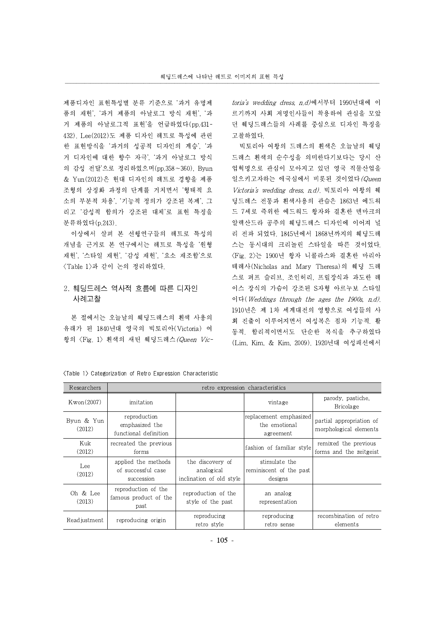제품디자인 표현특성별 분류 기준으로 '과거 유명제 품의 재현', '과거 제품의 아날로그 방식 재현', '과 거 제품의 아날로그적 표현'을 언급하였다(pp.431- 432). Lee(2012)도 제품 디자인 레트로 특성에 관련 한 표현방식을 '과거의 성공적 디자인의 계승', '과 거 디자인에 대한 향수 자극', '과거 아날로그 방식 의 감성 전달'으로 정리하였으며(pp.358~360), Byun & Yun(2012)은 현대 디자인의 레트로 경향을 제품 조형의 상징화 과정의 단계를 거치면서 '형태적 요 소의 부분적 차용', '기능적 정의가 강조된 복제', 그 리고 '감성적 합의가 강조된 대체'로 표현 특징을 분류하였다(p.243).

이상에서 살펴 본 선행연구들의 레트로 특성의 개념을 근거로 본 연구에서는 레트로 특성을 '원형 재현', '스타일 재현', '감성 재현', '요소 재조합'으로 <Table 1>과 같이 논의 정리하였다.

# 2. 웨딩드레스 역사적 흐름에 따른 디자인 사례고찰

본 절에서는 오늘날의 웨딩드레스의 흰색 사용의 유래가 된 1840년대 영국의 빅토리아(Victoria) 여 왕의 <Fig. 1> 흰색의 새틴 웨딩드레스(Queen Victoria's wedding dress, n.d)에서부터 1990년대에 이 르기까지 사회 저명인사들이 착용하여 관심을 모았 던 웨딩드레스들의 사례를 중심으로 디자인 특징을 고찰하였다.

빅토리아 여왕의 드레스의 흰색은 오늘날의 웨딩 드레스 흰색의 순수성을 의미한다기보다는 당시 산 업혁명으로 관심이 모아지고 있던 영국 직물산업을 일으키고자하는 애국심에서 비롯된 것이었다 (Queen Victoria's wedding dress, n.d). 빅토리아 여왕의 웨 딩드레스 전통과 흰색사용의 관습은 1863년 에드워 드 7세로 즉위한 에드워드 왕자와 결혼한 덴마크의 알렉산드라 공주의 웨딩드레스 디자인에 이어져 널 리 전파 되었다. 1845년에서 1868년까지의 웨딩드레 스는 동시대의 크리놀린 스타일을 따른 것이었다. <Fig. 2>는 1900년 왕자 니콜라스와 결혼한 마리아 테레사(Nicholas and Mary Theresa)의 웨딩 드레 스로 퍼프 슬리브, 조인허리, 프릴장식과 과도한 레 이스 장식의 가슴이 강조된 S자형 아르누보 스타일 이다(Weddings through the ages the 1900s, n.d). 1910년은 제 1차 세계대전의 영향으로 여성들의 사 회 진출이 이루어지면서 여성복은 점차 기능적. 활 동적. 합리적이면서도 단순한 복식을 추구하였다 (Lim, Kim, & Kim, 2009).1920년대 여성패션에서

| Researchers          | retro expression characteristics                        |                                                            |                                                       |                                                    |  |
|----------------------|---------------------------------------------------------|------------------------------------------------------------|-------------------------------------------------------|----------------------------------------------------|--|
| Kwon(2007)           | imitation                                               |                                                            | vintage                                               | parody, pastiche,<br>Bricolage                     |  |
| Byun & Yun<br>(2012) | reproduction<br>emphasized the<br>functional definition |                                                            | replacement emphasized <br>the emotional<br>agreement | partial appropriation of<br>morphological elements |  |
| Kuk<br>(2012)        | recreated the previous<br>forms                         |                                                            | fashion of familiar style                             | remixed the previous<br>forms and the zeitgeist    |  |
| Lee<br>(2012)        | applied the methods<br>of successful case<br>succession | the discovery of<br>analogical<br>inclination of old style | stimulate the<br>reminiscent of the past<br>designs   |                                                    |  |
| Oh & Lee<br>(2013)   | reproduction of the<br>famous product of the<br>past    | reproduction of the<br>style of the past                   | an analog<br>representation                           |                                                    |  |
| Readjustment         | reproducing origin                                      | reproducing<br>retro style                                 | reproducing<br>retro sense                            | recombination of retro<br>elements                 |  |

<Table 1> Categorization of Retro Expression Characteristic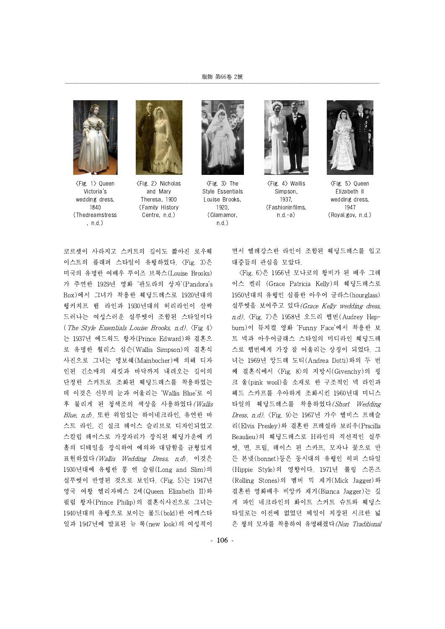

<Fig. 1> Queen Victoria's wedding dress, 1840 (Thedreamstress , n.d.)



<Fig. 2> Nicholas and Mary Theresa, 1900 (Family History Centre, n.d.)



 $\langle$ Fig. 3 $\rangle$  The Style Essentials Louise Brooks, 1920, (Glamamor, n.d.)



<Fig. 4> Wallis Simpson, 1937, (Fashioninfilms,  $n.d.-a)$ 



<Fig. 5> Queen Elizabeth II wedding dress, 1947 (Royal.gov, n.d.)

코르셋이 사라지고 스커트의 길이도 짧아진 로우웨 이스트의 플래퍼 스타일이 유행하였다. <Fig. 3>은 미국의 유명한 여배우 루이즈 브룩스(Louise Brooks) 가 주연한 1929년 영화 '판도라의 상자'(Pandora's Box)에서 그녀가 착용한 웨딩드레스로 1920년대의 행커치프 햄 라인과 1930년대의 허리라인이 살짝 드러나는 여성스러운 실루엣이 조합된 스타일이다 (The Style Essentials Louise Brooks, n.d.).  $\langle$ Fig 4 $\rangle$ 는 1937년 에드워드 왕자(Prince Edward)와 결혼으 로 유명한 월리스 심슨(Wallis Simpson)의 결혼식 사진으로 그녀는 맹보쉐(Mainbocher)에 의해 디자 인된 긴소매의 재킷과 바닥까지 내려오는 길이의 단정한 스커트로 조화된 웨딩드레스를 착용하였는 데 이것은 신부의 눈과 어울리는 'Wallis Blue'로 이 후 불리게 된 청색조의 색상을 사용하였다(Wallis  $Blue$ ,  $n.d$ ). 또한 위엄있는 하이네크라인, 유연한 바 스트 라인, 긴 실크 레이스 슬리브로 디자인되었고 스칼럽 레이스로 가장자리가 장식된 웨딩가운에 키 홀의 디테일을 장식하여 예의와 대담함을 균형있게 표현하였다(Wallis Wedding Dress, n.d). 이것은 1930년대에 유행한 롱 앤 슬림(Long and Slim)의 실루엣이 반영된 것으로 보인다. <Fig. 5>는 1947년 영국 여왕 엘리자베스 2세(Queen Elizabeth II)와 필립 왕자(Prince Philip)의 결혼식사진으로 그녀는 1940년대의 유행으로 보이는 볼드(bold)한 어깨스타 일과 1947년에 발표된 뉴 룩(new look)의 여성적이

면서 엘레강스한 라인이 조합된 웨딩드레스를 입고 대중들의 관심을 모았다.

<Fig. 6>은 1956년 모나코의 왕비가 된 배우 그레 이스 켈리 (Grace Patricia Kelly)의 웨딩드레스로 1950년대의 유행인 심플한 아우어 글라스(hourglass) 실루엣을 보여주고 있다 (Grace Kelly wedding dress, n.d). <Fig. 7>은 1958년 오드리 헵번(Audrey Hepburn)이 뮤지컬 영화 'Funny Face'에서 착용한 보 트 넥과 아우어글래스 스타일의 미디라인 웨딩드레 스로 헵번에게 가장 잘 어울리는 상징이 되었다. 그 녀는 1969년 앙드레 도티(Andrea Dotti)와의 두 번 째 결혼식에서 <Fig. 8>의 지방시(Givenchy)의 핑 크 울(pink wool)을 소재로 한 구조적인 넥 라인과 헤드 스카프를 우아하게 조화시킨 1960년대 미니스 타일의 웨딩드레스를 착용하였다(Short Wedding Dress, n.d). <Fig. 9>는 1967년 가수 엘비스 프레슬 리(Elvis Presley)와 결혼한 프레실라 보리우(Prscilla Beaulieu)의 웨딩드레스로 H라인의 직선적인 실루 엣, 면, 프릴, 레이스 된 스카프, 모자나 꽃으로 만 든 본넷(bonnet)등은 동시대의 유행인 히피 스타일 (Hippie Style)의 영향이다. 1971년 롤링 스톤즈 (Rolling Stones)의 멤버 믹 재거(Mick Jagger)와 결혼한 영화배우 비앙카 재거(Bianca Jagger)는 깊 게 파인 네크라인의 화이트 스커트 슈트와 웨딩스 타일로는 이전에 없었던 베일이 치장된 시크한 넓 은 챙의 모자를 착용하여 유명해졌다(Non Traditional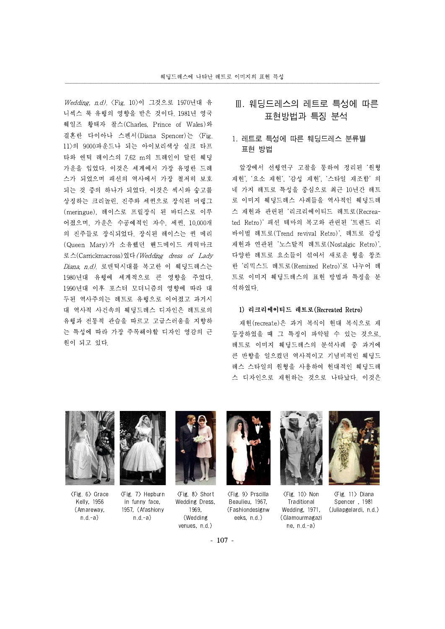Wedding, n.d). <Fig. 10>이 그것으로 1970년대 유 니섹스 룩 유행의 영향을 받은 것이다. 1981년 영국 웨일즈 황태자 찰스(Charles, Prince of Wales)와 결혼한 다이아나 스펜서(Diana Spencer)는 <Fig. 11>의 9000파운드나 되는 아이보리색상 실크 타프 타와 앤틱 레이스의 7.62 m의 트레인이 달린 웨딩 가운을 입었다. 이것은 세계에서 가장 유명한 드레 스가 되었으며 패션의 역사에서 가장 철저히 보호 되는 것 중의 하나가 되었다. 이것은 섹시와 숭고를 상징하는 크리놀린, 진주와 세퀸으로 장식된 머랭그 (meringue), 레이스로 프릴장식 된 바디스로 이루 어졌으며, 가운은 수공예적인 자수, 세퀸, 10,000개 의 진주들로 장식되었다. 장식된 레이스는 퀸 메리 (Queen Mary)가 소유했던 핸드메이드 캐릭마크 로스(Carrickmacross)였다(Wedding dress of Lady  $D$ iana, n.d). 로맨틱시대를 복고한 이 웨딩드레스는 1980년대 유행에 세계적으로 큰 영향을 주었다. 1990년대 이후 포스터 모더니즘의 영향에 따라 대 두된 역사주의는 레트로 유행으로 이어졌고 과거시 대 역사적 사건속의 웨딩드레스 디자인은 레트로의 유행과 전통적 관습을 따르고 고급스러움을 지향하 는 특성에 따라 가장 주목해야할 디자인 영감의 근 원이 되고 있다.

# Ⅲ. 웨딩드레스의 레트로 특성에 따른 표현방법과 특징 분석

### 1. 레트로 특성에 따른 웨딩드레스 분류별 표현 방법

앞장에서 선행연구 고찰을 통하여 정리된 '원형 재현', '요소 재현', '감성 재현', '스타일 재조합' 의 네 가지 레트로 특성을 중심으로 최근 10년간 레트 로 이미지 웨딩드레스 사례들을 역사적인 웨딩드레 스 재현과 관련된 '리크리에이티드 레트로(Recreated Retro)' 패션 테마의 복고와 관련된 '트렌드 리 바이벌 레트로(Trend revival Retro)', 레트로 감성 재현과 연관된 '노스탈직 레트로(Nostalgic Retro)', 다양한 레트로 요소들이 섞여서 새로운 형을 창조 한 '리믹스드 레트로(Remixed Retro)'로 나누어 레 트로 이미지 웨딩드레스의 표현 방법과 특징을 분 석하였다.

#### 1) 리크리에이티드 레트로(Recreated Retro)

재현(recreate)은 과거 복식이 현대 복식으로 재 등장하였을 때 그 특징이 파악될 수 있는 것으로, 레트로 이미지 웨딩드레스의 분석사례 중 과거에 큰 반향을 일으켰던 역사적이고 기념비적인 웨딩드 레스 스타일의 원형을 사용하여 현대적인 웨딩드레 스 디자인으로 재현하는 것으로 나타났다. 이것은



<Fig. 6> Grace Kelly, 1956 (Amareway, n.d.-a)



<Fig. 7> Hepburn in funny face, 1957, (Afashiony n.d.-a)



<Fig. 8> Short Wedding Dress, 1969, (Wedding venues, n.d.)



<Fig. 9> Prscilla Beaulieu, 1967, (Fashiondesignw eeks, n.d.)



<Fig. 10> Non Traditional Wedding, 1971, (Glamourmagazi ne, n.d.-a)



<Fig. 11> Diana Spencer , 1981 (Juliapgelardi, n.d.)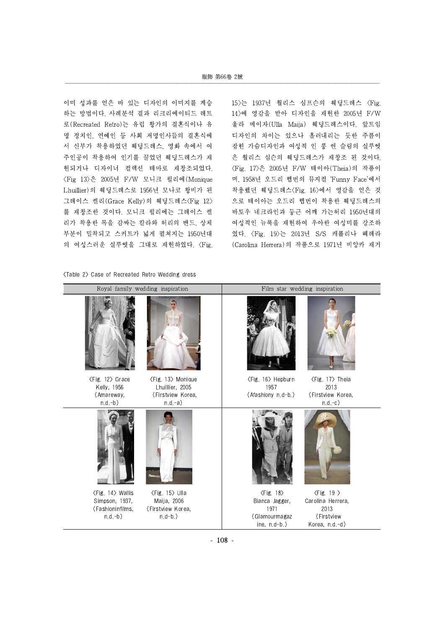#### 服飾 第66卷 2號

이미 성과를 얻은 바 있는 디자인의 이미지를 계승 하는 방법이다. 사례분석 결과 리크리에이티드 레트 로(Recreated Retro)는 유럽 왕가의 결혼식이나 유 명 정치인, 연예인 등 사회 저명인사들의 결혼식에 서 신부가 착용하였던 웨딩드레스, 영화 속에서 여 주인공이 착용하여 인기를 끌었던 웨딩드레스가 재 현되거나 디자이너 컬렉션 테마로 재창조되었다. <Fig 13>은 2005년 F/W 모니크 륄리에(Monique Lhuillier)의 웨딩드레스로 1956년 모나코 왕비가 된 그레이스 켈리(Grace Kelly)의 웨딩드레스<Fig 12> 를 재창조한 것이다. 모니크 륄리에는 그레이스 켈 리가 착용한 목을 감싸는 칼라와 허리의 밴드, 상체 부분이 밀착되고 스커트가 넓게 펼쳐지는 1950년대 의 여성스러운 실루엣을 그대로 재현하였다. <Fig.

<Table 2> Case of Recreated Retro Wedding dress

15>는 1937년 월리스 심프슨의 웨딩드레스 <Fig. 14>에 영감을 받아 디자인을 재현한 2005년 F/W 울라 메이자(Ulla Maija) 웨딩드레스이다. 앞트임 디자인의 차이는 있으나 흘러내리는 듯한 주름이 잡힌 가슴디자인과 여성적 인 롱 앤 슬림의 실루엣 은 월리스 심슨의 웨딩드레스가 재창조 된 것이다. <Fig. 17>은 2005년 F/W 테이아(Theia)의 작품이 며, 1958년 오드리 헵번의 뮤지컬 'Funny Face'에서 착용했던 웨딩드레스<Fig. 16>에서 영감을 얻은 것 으로 테이아는 오드리 헵번이 착용한 웨딩드레스의 바토우 네크라인과 둥근 어깨 가는허리 1950년대의 여성적인 뉴룩을 재현하여 우아한 여성미를 강조하 였다. <Fig. 19>는 2013년 S/S 캐롤리나 헤레라 (Carolina Herrera)의 작품으로 1971년 비앙카 재거



- 108 -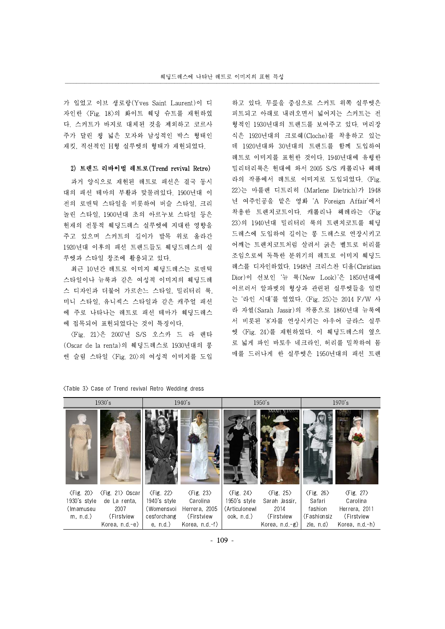가 입었고 이브 생로랑(Yves Saint Laurent)이 디 자인한 <Fig. 18>의 화이트 웨딩 슈트를 재현하였 다. 스커트가 바지로 대체된 것을 제외하고 코르사 주가 달린 챙 넓은 모자와 남성적인 박스 형태인 재킷, 직선적인 H형 실루엣의 형태가 재현되었다.

#### 2) 트렌드 리바이벌 레트로(Trend revival Retro)

과거 양식으로 재현된 레트로 패션은 결국 동시 대의 패션 테마의 부활과 맞물려있다. 1900년대 이 전의 로맨틱 스타일을 비롯하여 버슬 스타일, 크리 놀린 스타일, 1900년대 초의 아르누보 스타일 등은 현재의 전통적 웨딩드레스 실루엣에 지대한 영향을 주고 있으며 스커트의 길이가 발목 위로 올라간 1920년대 이후의 패션 트렌드들도 웨딩드레스의 실 루엣과 스타일 창조에 활용되고 있다.

최근 10년간 레트로 이미지 웨딩드레스는 로맨틱 스타일이나 뉴룩과 같은 여성적 이미지의 웨딩드레 스 디자인과 더불어 가르손느 스타일, 밀리터리 룩, 미니 스타일, 유니섹스 스타일과 같은 캐주얼 패션 에 주로 나타나는 레트로 패션 테마가 웨딩드레스 에 접목되어 표현되었다는 것이 특징이다.

<Fig. 21>은 2007년 S/S 오스카 드 라 렌타 (Oscar de la renta)의 웨딩드레스로 1930년대의 롱 앤 슬림 스타일 <Fig. 20>의 여성적 이미지를 도입 하고 있다. 무릎을 중심으로 스커트 위쪽 실루엣은 피트되고 아래로 내려오면서 넓어지는 스커트는 전 형적인 1930년대의 트렌드를 보여주고 있다. 머리장 식은 1920년대의 크로쉐(Cloche)를 착용하고 있는 데 1920년대와 30년대의 트렌드를 함께 도입하여 레트로 이미지를 표현한 것이다. 1940년대에 유행한 밀리터리룩은 현대에 와서 2005 S/S 캐롤리나 헤레 라의 작품에서 레트로 이미지로 도입되었다. <Fig. 22>는 마를렌 디트리히 (Marlene Dietrich)가 1948 년 여주인공을 맡은 영화 'A Foreign Affair'에서 착용한 트렌치코트이다. 캐롤리나 헤레라는 <Fig 23>의 1940년대 밀리터리 룩의 트렌치코트를 웨딩 드레스에 도입하여 길이는 롱 드레스로 연장시키고 어깨는 트렌치코트처럼 살려서 굵은 벨트로 허리를 조임으로써 독특한 분위기의 레트로 이미지 웨딩드 레스를 디자인하였다. 1948년 크리스찬 디올(Christian Dior)이 선보인 '뉴 룩(New Look)'은 1850년대에 이르러서 알파벳의 형상과 관련된 실루엣들을 일컫 는 '라인 시대'를 열었다. 〈Fig. 25〉는 2014 F/W 사 라 자씰(Sarah Jassir)의 작품으로 1860년대 뉴룩에 서 비롯된 '8'자를 연상시키는 아우어 글라스 실루 엣 <Fig. 24>를 재현하였다. 이 웨딩드레스의 옆으 로 넓게 파인 바토우 네크라인, 허리를 밀착하여 몸 매를 드러나게 한 실루엣은 1950년대의 패션 트렌

| 1930's                      |                                   | 1940's                      |                             | 1950's                      |                             | 1970's                      |                             |
|-----------------------------|-----------------------------------|-----------------------------|-----------------------------|-----------------------------|-----------------------------|-----------------------------|-----------------------------|
|                             |                                   |                             |                             |                             |                             |                             |                             |
| $\langle$ Fig. 20 $\rangle$ | $\langle$ Fig. 21 $\rangle$ Oscar | $\langle$ Fig. 22 $\rangle$ | $\langle$ Fig. 23 $\rangle$ | $\langle$ Fig. 24 $\rangle$ | $\langle$ Fig. 25 $\rangle$ | $\langle$ Fig. 26 $\rangle$ | $\langle$ Fig. 27 $\rangle$ |
| 1930's style                | de La renta.                      | 1940's style                | Carolina                    | 1950's style                | Sarah Jassir,               | Safari                      | Carolina                    |
| (Imamuseu                   | 2007                              | (Womensvoi                  | Herrera, 2005               | (Articulonewl               | 2014                        | fashion                     | Herrera, 2011               |
| m, n.d.                     | (Firstview)                       | cesforchang                 | (Firstview)                 | ook. n.d.)                  | (Firstview                  | (Fashionsiz                 | (Firstview                  |
|                             | Korea, $n.d.-e$ )                 | e, n.d.)                    | Korea, n.d.-f)              |                             | Korea, $n.d-g$ )            | zle, n.d)                   | Korea, n.d.-h)              |

<Table 3> Case of Trend revival Retro Wedding dress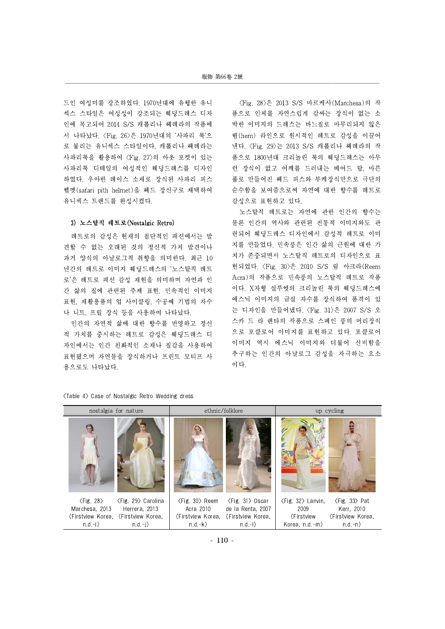드인 여성미를 강조하였다. 1970년대에 유행한 유니 섹스 스타일은 여성성이 강조되는 웨딩드레스 디자 인에 복고되어 2014 S/S 캐롤리나 헤레라의 작품에 서 나타났다. <Fig. 26>은 1970년대의 '사파리 룩'으 로 불리는 유니섹스 스타일이다. 캐롤리나 헤레라는 사파리룩을 활용하여 <Fig. 27>의 아웃 포켓이 있는 사파리룩 디테일의 여성적인 웨딩드레스를 디자인 하였다. 우아한 레이스 소재로 장식된 사파리 피스 헬멧(safari pith helmet)을 헤드 장신구로 채택하여 유니섹스 트렌드를 완성시켰다.

#### 3) 노스탈직 레트로(Nostalgic Retro)

레트로의 감성은 현재의 첨단적인 패션에서는 발 견할 수 없는 오래된 것의 정신적 가치 발견이나 과거 양식의 아날로그적 취향을 의미한다. 최근 10 년간의 레트로 이미지 웨딩드레스의 '노스탈직 레트 로'은 레트로 패션 감성 재현을 의미하며 자연과 인 간 삶의 질에 관련된 주제 표현, 민속적인 이미지 표현, 재활용품의 업 사이클링, 수공예 기법의 자수 나 니트, 프릴 장식 등을 사용하여 나타났다.

인간의 자연적 삶에 대한 향수를 반영하고 정신 적 가치를 중시하는 레트로 감성은 웨딩드레스 디 자인에서는 인간 친화적인 소재나 질감을 사용하여 표현됐으며 자연물을 장식하거나 프린트 모티프 사 용으로도 나타났다.

<Fig. 28>은 2013 S/S 마르케사(Marchesa)의 작 품으로 인체를 자연스럽게 감싸는 장식이 없는 소 박한 이미지의 드레스는 바느질로 마무리되지 않은 햄(hem) 라인으로 원시적인 레트로 감성을 이끌어 낸다. <Fig. 29>는 2013 S/S 캐롤리나 헤레라의 작 품으로 1800년대 크리놀린 룩의 웨딩드레스는 아무 런 장식이 없고 어깨를 드러내는 베어드 탑, 마른 풀로 만들어진 헤드 피스와 부케장식만으로 극단의 순수함을 보여줌으로써 자연에 대한 향수를 레트로 감성으로 표현하고 있다.

노스탈직 레트로는 자연에 관한 인간의 향수는 물론 인간의 역사와 관련된 전통적 이미지와도 관 련되어 웨딩드레스 디자인에서 감성적 레트로 이미 지를 만들었다. 민속풍은 인간 삶의 근원에 대한 가 치가 존중되면서 노스탈직 레트로의 디자인으로 표 현되었다. <Fig. 30>은 2010 S/S 림 아크라(Reem Acra)의 작품으로 민속풍의 노스탈직 레트로 작품 이다. X자형 실루엣의 크리놀린 룩의 웨딩드레스에 에스닉 이미지의 금실 자수를 장식하여 품격이 있 는 디자인을 만들어냈다. <Fig. 31>은 2007 S/S 오 스카 드 라 렌타의 작품으로 스페인 풍의 머리장식 으로 포클로어 이미지를 표현하고 있다. 포클로어 이미지 역시 에스닉 이미지와 더불어 신비함을 추구하는 인간의 아날로그 감성을 자극하는 요소 이다.

#### <Table 4> Case of Nostalgic Retro Wedding dress

| nostalgia for nature                                                                                               |                                                                                                                                         | ethnic/folklore                                                                                                      | up cycling                                                                     |                                                                                 |  |
|--------------------------------------------------------------------------------------------------------------------|-----------------------------------------------------------------------------------------------------------------------------------------|----------------------------------------------------------------------------------------------------------------------|--------------------------------------------------------------------------------|---------------------------------------------------------------------------------|--|
|                                                                                                                    |                                                                                                                                         |                                                                                                                      |                                                                                |                                                                                 |  |
| $\langle$ Fig. 28 $\rangle$<br>Marchesa, 2013<br>Herrera, 2013<br>(Firstview Korea, (Firstview Korea,<br>$n.d.-i)$ | <fig. 29=""> Carolina<br/><math>\langle</math>Fig. 30<math>\rangle</math> Reem<br/><math>n.d.-k)</math><br/><math>n.d.-i)</math></fig.> | $\langle$ Fig. 31 $\rangle$ Oscar<br>Acra 2010 de la Renta, 2007<br>(Firstview Korea, (Firstview Korea,<br>$n.d.-1)$ | $\langle$ Fig. 32 $\rangle$ Lanvin,<br>2009<br>(Firstview<br>Korea, $n.d.-m$ ) | $\langle$ Fig. 33 $\rangle$ Pat<br>Kerr, 2010<br>(Firstview Korea,<br>$n.d.-n)$ |  |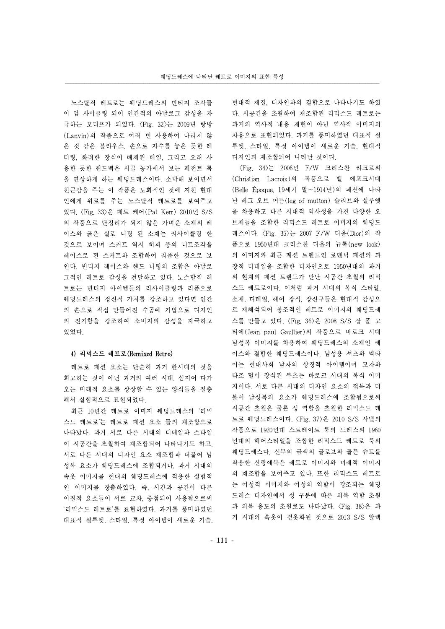노스탈직 레트로는 웨딩드레스의 빈티지 조각들 이 업 사이클링 되어 인간적의 아날로그 감성을 자 극하는 모티프가 되었다. <Fig. 32>는 2009년 랑방 (Lanvin)의 작품으로 여러 번 사용하여 다리지 않 은 것 같은 블라우스, 손으로 자수를 놓은 듯한 레 터링, 화려한 장식이 배제된 베일, 그리고 오래 사 용한 듯한 핸드백은 시골 농가에서 보는 페전트 룩 을 연상하게 하는 웨딩드레스이다. 소박해 보이면서 친근감을 주는 이 작품은 도회적인 것에 지친 현대 인에게 위로를 주는 노스탈직 레트로를 보여주고 있다. <Fig. 33>은 패트 케어(Pat Kerr) 2010년 S/S 의 작품으로 단정리가 되지 않은 가벼운 소재의 레 이스와 굵은 실로 니팅 된 소재는 리사이클링 한 것으로 보이며 스커트 역시 히피 풍의 니트조각을 레이스로 된 스커트와 조합하여 리폼한 것으로 보 인다. 빈티지 레이스와 핸드 니팅의 조합은 아날로 그적인 레트로 감성을 전달하고 있다. 노스탈직 레 트로는 빈티지 아이템들의 리사이클링과 리폼으로 웨딩드레스의 정신적 가치를 강조하고 있다면 인간 의 손으로 직접 만들어진 수공예 기법으로 디자인 의 진기함을 강조하여 소비자의 감성을 자극하고 있었다.

#### 4) 리믹스드 레트로(Remixed Retro)

레트로 패션 요소는 단순히 과거 한시대의 것을 회고하는 것이 아닌 과거의 여러 시대, 심지어 다가 오는 미래적 요소를 상상할 수 있는 양식들을 절충 해서 실험적으로 표현되었다.

최근 10년간 레트로 이미지 웨딩드레스의 '리믹 스드 레트로'는 레트로 패션 요소 들의 재조합으로 나타났다. 과거 서로 다른 시대의 디테일과 스타일 이 시공간을 초월하여 재조합되어 나타나기도 하고, 서로 다른 시대의 디자인 요소 재조합과 더불어 남 성복 요소가 웨딩드레스에 조합되거나, 과거 시대의 속옷 이미지를 현대의 웨딩드레스에 적용한 실험적 인 이미지를 창출하였다. 즉, 시간과 공간이 다른 이질적 요소들이 서로 교차, 중첩되어 사용됨으로써 '리믹스드 레트로'를 표현하였다. 과거를 풍미하였던 대표적 실루엣, 스타일, 특정 아이템이 새로운 기술,

현대적 재질, 디자인과의 결합으로 나타나기도 하였 다. 시공간을 초월하여 재조합된 리믹스드 레트로는 과거의 역사적 내용 재현이 아닌 역사적 이미지의 차용으로 표현되었다. 과거를 풍미하였던 대표적 실 루엣, 스타일, 특정 아이템이 새로운 기술, 현대적 디자인과 재조합되어 나타난 것이다.

<Fig. 34>는 2006년 F/W 크리스찬 라크르와 (Christian Lacroix)의 작품으로 벨 에포크시대 (Belle Époque, 19세기 말~1914년)의 패션에 나타 난 레그 오브 머튼(leg of mutton) 슬리브와 실루엣 을 차용하고 다른 시대적 역사성을 가진 다양한 오 브제들을 조합한 리믹스드 레트로 이미지의 웨딩드 레스이다. <Fig. 35>는 2007 F/W 디올(Dior)의 작 품으로 1950년대 크리스찬 디올의 뉴룩(new look) 의 이미지와 최근 패션 트렌드인 로맨틱 패션의 과 장적 디테일을 조합한 디자인으로 1950년대의 과거 와 현재의 패션 트렌드가 만난 시공간 초월의 리믹 스드 레트로이다. 이처럼 과거 시대의 복식 스타일, 소재, 디테일, 헤어 장식, 장신구들은 현대적 감성으 로 재해석되어 창조적인 레트로 이미지의 웨딩드레 스를 만들고 있다. <Fig. 36>은 2008 S/S 장 폴 고 티에(Jean paulGaultier)의 작품으로 바로크 시대 남성복 이미지를 차용하여 웨딩드레스의 소재인 레 이스와 결합한 웨딩드레스이다. 남성용 셔츠와 넥타 이는 현대사회 남자의 상징적 아이템이며 모자와 타조 털이 장식된 부츠는 바로크 시대의 복식 이미 지이다. 서로 다른 시대의 디자인 요소의 접목과 더 불어 남성복의 요소가 웨딩드레스에 조합됨으로써 시공간 초월은 물론 성 역할을 초월한 리믹스드 레 트로 웨딩드레스이다. <Fig. 37>은 2010 S/S 샤넬의 작품으로 1920년대 스트레이트 룩의 드레스와 1960 년대의 헤어스타일을 조합한 리믹스드 레트로 룩의 웨딩드레스다. 신부의 금색의 글로브와 골든 슈트를 착용한 신랑예복은 레트로 이미지와 미래적 이미지 의 재조합을 보여주고 있다. 또한 리믹스드 레트로 는 여성적 이미지와 여성의 역할이 강조되는 웨딩 드레스 디자인에서 성 구분에 따른 의복 역할 초월 과 의복 용도의 초월로도 나타났다. <Fig. 38>은 과 거 시대의 속옷이 겉옷화된 것으로 2013 S/S 알렉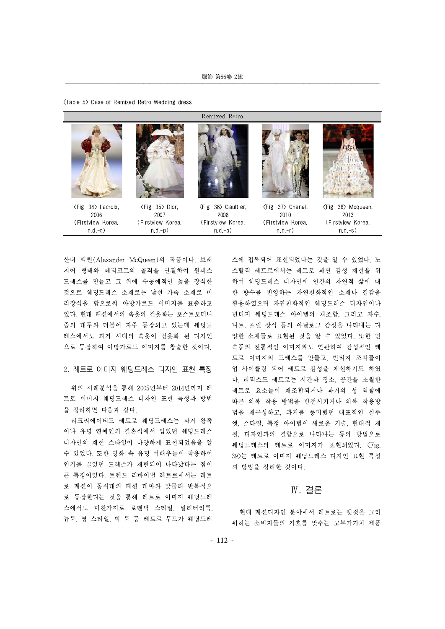| (Table 5) Case of Remixed Retro Wedding dress |  |
|-----------------------------------------------|--|
|-----------------------------------------------|--|

|                                                                                |                                     | Remixed Retro                                                                   |                                                                               |                                                                                |
|--------------------------------------------------------------------------------|-------------------------------------|---------------------------------------------------------------------------------|-------------------------------------------------------------------------------|--------------------------------------------------------------------------------|
|                                                                                |                                     |                                                                                 |                                                                               |                                                                                |
| $\langle$ Fig. 34 $\rangle$ Lacroix,<br>2006<br>(Firstview Korea,<br>$n.d.-o)$ | 〈Fig. 35〉Dior.<br>2007<br>$n.d.-p)$ | ⟨Fig. 36⟩ Gaultier,<br>2008<br>(Firstview Korea, (Firstview Korea,<br>$n.d.-q)$ | $\langle$ Fig. 37 $\rangle$ Chanel,<br>2010<br>(Firstview Korea,<br>$n.d.-r)$ | $\langle$ Fig. 38 $\rangle$ Mcqueen,<br>2013<br>(Firstview Korea,<br>$n.d.-s)$ |

산더 맥퀸(Alexander McQueen)의 작품이다. 브래 지어 형태와 페티코트의 골격을 연결하여 원피스 드레스를 만들고 그 위에 수공예적인 꽃을 장식한 것으로 웨딩드레스 소재로는 낯선 가죽 소재로 머 리장식을 함으로써 아방가르드 이미지를 표출하고 있다. 현대 패션에서의 속옷의 겉옷화는 포스트모더니 즘의 대두와 더불어 자주 등장되고 있는데 웨딩드 레스에서도 과거 시대의 속옷이 겉옷화 된 디자인 으로 등장하여 아방가르드 이미지를 창출한 것이다.

#### 2. 레트로 이미지 웨딩드레스 디자인 표현 특징

위의 사례분석을 통해 2005년부터 2014년까지 레 트로 이미지 웨딩드레스 디자인 표현 특성과 방법 을 정리하면 다음과 같다.

리크리에이티드 레트로 웨딩드레스는 과거 왕족 이나 유명 연예인의 결혼식에서 입었던 웨딩드레스 디자인의 재현 스타일이 다양하게 표현되었음을 알 수 있었다. 또한 영화 속 유명 여배우들이 착용하여 인기를 끌었던 드레스가 재현되어 나타났다는 점이 큰 특징이었다. 트렌드 리바이벌 레트로에서는 레트 로 패션이 동시대의 패션 테마와 맞물려 반복적으 로 등장한다는 것을 통해 레트로 이미지 웨딩드레 스에서도 마찬가지로 로맨틱 스타일, 밀리터리룩, 뉴룩, 영 스타일, 빅 룩 등 레트로 무드가 웨딩드레 스에 접목되어 표현되었다는 것을 알 수 있었다. 노 스탈직 레트로에서는 레트로 패션 감성 재현을 위 하여 웨딩드레스 디자인에 인간의 자연적 삶에 대 한 향수를 반영하는 자연친화적인 소재나 질감을 활용하였으며 자연친화적인 웨딩드레스 디자인이나 빈티지 웨딩드레스 아이템의 재조합, 그리고 자수, 니트, 프릴 장식 등의 아날로그 감성을 나타내는 다 양한 소재들로 표현된 것을 알 수 있었다. 또한 민 속풍의 전통적인 이미지와도 연관하여 감성적인 레 트로 이미지의 드레스를 만들고, 빈티지 조각들이 업 사이클링 되어 레트로 감성을 재현하기도 하였 다. 리믹스드 레트로는 시간과 장소, 공간을 초월한 레트로 요소들이 재조합되거나 과거의 성 역할에 따른 의복 착용 방법을 반전시키거나 의복 착용방 법을 재구성하고, 과거를 풍미했던 대표적인 실루 엣, 스타일, 특정 아이템이 새로운 기술, 현대적 재 질, 디자인과의 결합으로 나타나는 등의 방법으로 웨딩드레스의 레트로 이미지가 표현되었다.<Fig. 39>는 레트로 이미지 웨딩드레스 디자인 표현 특성 과 방법을 정리한 것이다.

### Ⅳ. 결론

현대 패션디자인 분야에서 레트로는 옛것을 그리 워하는 소비자들의 기호를 맞추는 고부가가치 제품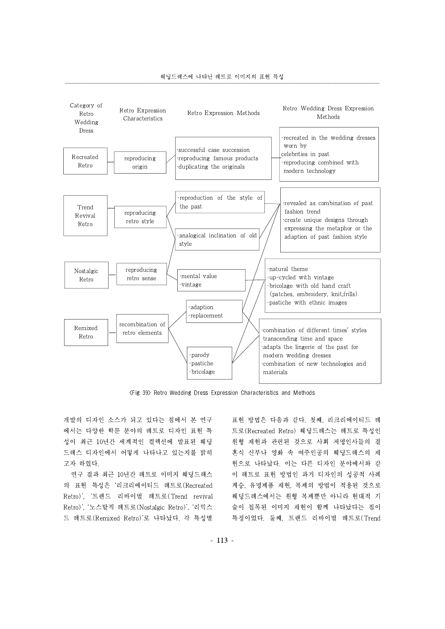



<Fig 39> Retro Wedding Dress Expression Characteristics and Methods

개발의 디자인 소스가 되고 있다는 점에서 본 연구 에서는 다양한 학문 분야의 레트로 디자인 표현 특 성이 최근 10년간 세계적인 컬렉션에 발표된 웨딩 드레스 디자인에서 어떻게 나타나고 있는지를 밝히 고자 하였다.

연구 결과 최근 10년간 레트로 이미지 웨딩드레스 의 표현 특성은 '리크리에이티드 레트로(Recreated Retro)', '트렌드 리바이벌 레트로(Trend revival Retro)', '노스탈직 레트로(Nostalgic Retro)', '리믹스 드 레트로(Remixed Retro)'로 나타났다. 각 특성별 표현 방법은 다음과 같다. 첫째, 리크리에이티드 레 트로(Recreated Retro) 웨딩드레스는 레트로 특성인 원형 재현과 관련된 것으로 사회 저명인사들의 결 혼식 신부나 영화 속 여주인공의 웨딩드레스의 재 현으로 나타났다. 이는 다른 디자인 분야에서와 같 이 레트로 표현 방법인 과거 디자인의 성공적 사례 계승, 유명제품 재현, 복제의 방법이 적용된 것으로 웨딩드레스에서는 원형 복제뿐만 아니라 현대적 기 술이 접목된 이미지 재현이 함께 나타났다는 점이 특징이었다. 둘째, 트렌드 리바이벌 레트로(Trend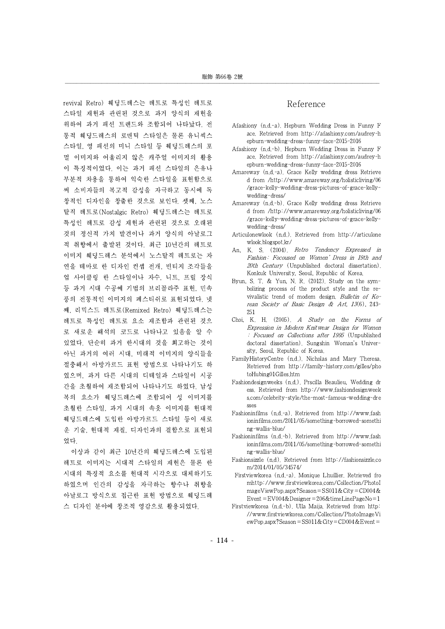revival Retro) 웨딩드레스는 레트로 특성인 레트로 스타일 재현과 관련된 것으로 과거 양식의 재현을 위하여 과거 패션 트렌드와 조합되어 나타났다. 전 통적 웨딩드레스의 로맨틱 스타일은 물론 유니섹스 스타일, 영 패션의 미니 스타일 등 웨딩드레스의 포 멀 이미지와 어울리지 않은 캐주얼 이미지의 활용 이 특징적이었다. 이는 과거 패션 스타일의 은유나 부분적 차용을 통하여 익숙한 스타일을 표현함으로 써 소비자들의 복고적 감성을 자극하고 동시에 독 창적인 디자인을 창출한 것으로 보인다. 셋째, 노스 탈직 레트로(Nostalgic Retro) 웨딩드레스는 레트로 특성인 레트로 감성 재현과 관련된 것으로 오래된 것의 정신적 가치 발견이나 과거 양식의 아날로그 적 취향에서 출발된 것이다. 최근 10년간의 레트로 이미지 웨딩드레스 분석에서 노스탈직 레트로는 자 연을 테마로 한 디자인 컨셉 전개, 빈티지 조각들을 업 사이클링 한 스타일이나 자수, 니트, 프릴 장식 등 과거 시대 수공예 기법의 브리꼴라주 표현, 민속 풍의 전통적인 이미지의 페스티쉬로 표현되었다. 넷 째, 리믹스드 레트로(Remixed Retro) 웨딩드레스는 레트로 특성인 레트로 요소 재조합과 관련된 것으 로 새로운 해석의 코드로 나타나고 있음을 알 수 있었다. 단순히 과거 한시대의 것을 회고하는 것이 아닌 과거의 여러 시대, 미래적 이미지의 양식들을 절충해서 아방가르드 표현 방법으로 나타나기도 하 였으며, 과거 다른 시대의 디테일과 스타일이 시공 간을 초월하여 재조합되어 나타나기도 하였다. 남성 복의 요소가 웨딩드레스에 조합되어 성 이미지를 초월한 스타일, 과거 시대의 속옷 이미지를 현대적 웨딩드레스에 도입한 아방가르드 스타일 등이 새로 운 기술, 현대적 재질, 디자인과의 결합으로 표현되 었다.

이상과 같이 최근 10년간의 웨딩드레스에 도입된 레트로 이미지는 시대적 스타일의 재현은 물론 한 시대의 특징적 요소를 현대적 시각으로 대체하기도 하였으며 인간의 감성을 자극하는 향수나 취향을 아날로그 방식으로 접근한 표현 방법으로 웨딩드레 스 디자인 분야에 창조적 영감으로 활용되었다.

# Reference

- Afashiony (n.d.-a). Hepburn Wedding Dress in Funny F ace. Retrieved from http://afashiony.com/audrey-h epburn-wedding-dress-funny-face-2015-2016
- Afashiony (n.d.-b). Hepburn Wedding Dress in Funny F ace. Retrieved from http://afashiony.com/audrey-h epburn-wedding-dress-funny-face-2015-2016
- Amareway (n.d.-a). Grace Kelly wedding dress Retrieve d from /http://www.amareway.org/holisticliving/06 /grace-kelly-wedding-dress-pictures-of-grace-kellywedding-dress/
- Amareway (n.d.-b). Grace Kelly wedding dress Retrieve d from /http://www.amareway.org/holisticliving/06 /grace-kelly-wedding-dress-pictures-of-grace-kellywedding-dress/
- Articulonewlook (n.d.). Retrieved from http://articulone wlook.blogspot.kr/
- An, K. S. (2004). Retro Tendency Expressed in Fashion: Focoused on Women' Dress in 19th and 20th Century (Unpublished doctoral dissertation). Konkuk University, Seoul, Republic of Korea.
- Byun, S. T. & Yun, N. R. (2012). Study on the symbolizing process of the product style and the revivalistic trend of modem design. Bulletin of Korean Society of Basic Design & Art, 13(6), 243- 251
- Choi, K. H. (2005). A Study on the Forms of Expression in Modern Knitwear Design for Women : Focused on Collections after 1995 (Unpublished doctoral dissertation). Sungshin Woman's University, Seoul, Republic of Korea.
- FamilyHistoryCentre (n.d.). Nicholas and Mary Theresa. Retrieved from http://family-history.com/gilles/pho toHubing01Gilles.htm
- Fashiondesignweeks (n.d.). Prscilla Beaulieu, Wedding dr ess. Retrieved from http://www.fashiondesignweek s.com/celebrity-style/the-most-famous-wedding-dre sses
- Fashioninfilms (n.d.-a). Retrieved from http://www.fash ioninfilms.com/2011/05/something-borrowed-somethi ng-wallis-blue/
- Fashioninfilms (n.d.-b). Retrieved from http://www.fash ioninfilms.com/2011/05/something-borrowed-somethi ng-wallis-blue/
- Fashionsizzle (n.d). Retrieved from http://fashionsizzle.co m/2014/01/05/34574/
- Firstviewkorea (n.d.-a). Monique Lhuillier. Retrieved fro mhttp://www.firstviewkorea.com/Collection/PhotoI mageViewPop.aspx?Season=SS011&City=CD004& Event=EV004&Designer=206&timeLinePageNo=1
- Firstviewkorea (n.d.-b). Ulla Maija. Retrieved from http: //www.firstviewkorea.com/Collection/PhotoImageVi ewPop.aspx?Season=SS011&City=CD004&Event=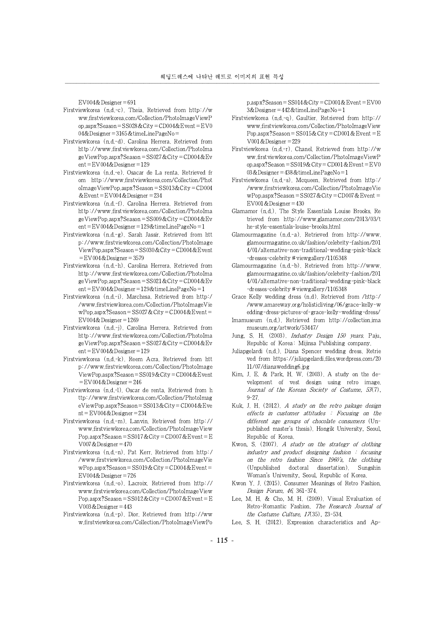EV004&Designer=691

- Firstviewkorea (n.d.-c). Theia. Retrieved from http://w ww.firstviewkorea.com/Collection/PhotoImageViewP op.aspx?Season=SS028&City=CD004&Event=EV0 04&Designer=3165&timeLinePageNo=
- Firstviewkorea (n.d.-d). Carolina Herrera. Retrieved from http://www.firstviewkorea.com/Collection/PhotoIma geViewPop.aspx?Season=SS027&City=CD004&Ev ent=EV004&Designer=129
- Firstviewkorea (n.d.-e). Osacar de La renta. Retrieved fr om http://www.firstviewkorea.com/Collection/Phot oImageViewPop.aspx?Season=SS013&City=CD004 &Event=EV004&Designer=234
- Firstviewkorea (n.d.-f). Carolina Herrera. Retrieved from http://www.firstviewkorea.com/Collection/PhotoIma geViewPop.aspx?Season=SS009&City=CD004&Ev ent=EV004&Designer=129&timeLinePageNo=1
- Firstviewkorea (n.d.-g). Sarah Jassir. Retrieved from htt p://www.firstviewkorea.com/Collection/PhotoImage ViewPop.aspx?Season=SS030&City=CD004&Event  $=$ EV004&Designer $=$ 3579
- Firstviewkorea (n.d.-h). Carolina Herrera. Retrieved from http://www.firstviewkorea.com/Collection/PhotoIma geViewPop.aspx?Season=SS021&City=CD004&Ev ent=EV004&Designer=129&timeLinePageNo=1
- Firstviewkorea (n.d.-i). Marchesa. Retrieved from http:/ /www.firstviewkorea.com/Collection/PhotoImageVie wPop.aspx?Season=SS027&City=CD004&Event= EV004&Designer=1269
- Firstviewkorea (n.d.-j). Carolina Herrera. Retrieved from http://www.firstviewkorea.com/Collection/PhotoIma geViewPop.aspx?Season=SS027&City=CD004&Ev ent=EV004&Designer=129
- Firstviewkorea (n.d.-k). Reem Acra. Retrieved from htt p://www.firstviewkorea.com/Collection/PhotoImage ViewPop.aspx?Season=SS019&City=CD004&Event =EV004&Designer=246
- Firstviewkorea (n.d.-l). Oscar de renta. Retrieved from h ttp://www.firstviewkorea.com/Collection/PhotoImag eViewPop.aspx?Season=SS013&City=CD004&Eve nt=EV004&Designer=234
- Firstviewkorea (n.d.-m). Lanvin. Retrieved from http:// www.firstviewkorea.com/Collection/PhotoImageView Pop.aspx?Season=SS017&City=CD007&Event=E V007&Designer=470
- Firstviewkorea (n.d.-n). Pat Kerr. Retrieved from http:/ /www.firstviewkorea.com/Collection/PhotoImageVie wPop.aspx?Season=SS019&City=CD004&Event= EV004&Designer=726
- Firstviewkorea (n.d.-o). Lacroix. Retrieved from http:// www.firstviewkorea.com/Collection/PhotoImageView Pop.aspx?Season=SS012&City=CD007&Event=E V003&Designer=443
- Firstviewkorea (n.d.-p). Dior. Retrieved from http://ww w.firstviewkorea.com/Collection/PhotoImageViewPo

p.aspx?Season=SS014&City=CD001&Event=EV00 3&Designer=442&timeLinePageNo=1

- Firstviewkorea (n.d.-q). Gaultier. Retrieved from http:// www.firstviewkorea.com/Collection/PhotoImageView Pop.aspx?Season=SS015&City=CD001&Event=E V001&Designer=229
- Firstviewkorea (n.d.-r). Chanel. Retrieved from http://w ww.firstviewkorea.com/Collection/PhotoImageViewP op.aspx?Season=SS019&City=CD001&Event=EV0 03&Designer=438&timeLinePageNo=1
- Firstviewkorea (n.d.-s). Mcqueen. Retrieved from http:/ /www.firstviewkorea.com/Collection/PhotoImageVie wPop.aspx?Season=SS027&City=CD007&Event= EV001&Designer=430
- Glamamor (n.d.). The Style Essentials Louise Brooks. Re trieved from http://www.glamamor.com/2013/03/t he-style-essentials-louise-brooks.html
- Glamourmagazine (n.d.-a). Retrieved from http://www. glamourmagazine.co.uk/fashion/celebrity-fashion/201 4/01/alternative-non-traditional-wedding-pink-black -dresses-celebrity # viewgallery/1105348
- Glamourmagazine (n.d.-b). Retrieved from http://www. glamourmagazine.co.uk/fashion/celebrity-fashion/201 4/01/alternative-non-traditional-wedding-pink-black -dresses-celebrity # viewgallery/1105348
- Grace Kelly wedding dress (n.d). Retrieved from /http:/ /www.amareway.org/holisticliving/06/grace-kelly-w edding-dress-pictures-of-grace-kelly-wedding-dress/
- Imamuseum (n.d.). Retrieved from http://collection.ima museum.org/artwork/53447/
- Jung, S. H. (2003). Industry Design 150 years. Paju, Republic of Korea: Mijinsa Publishing company.
- Juliapgelardi (n.d.). Diana Spencer wedding dress. Retrie ved from https://juliapgelardi.files.wordpress.com/20 11/07/dianawedding6.jpg
- Kim, J. E. & Park, H. W. (2003). A study on the development of vest design using retro image. Journal of the Korean Society of Costume, 53(7), 9-27.
- Kuk, J. H. (2012). A study on the retro pakage design effects in customer attitudes : Focusing on the different age groups of chocolate consumers (Unpublished master's thesis). Hongik University, Seoul, Republic of Korea.
- Kwon, S.  $(2007)$ . A study on the strategy of clothing industry and product designing fashion : focusing on the retro fashion Since 1960's, the clothing (Unpublished doctoral dissertation). Sungshin Woman's University, Seoul, Republic of Korea.
- Kwon Y. J.(2015). Consumer Meanings of Retro Fashion. Design Forum, 46, 361-374.
- Lee, M. H. & Cho, M. H.(2009). Visual Evaluation of Retro-Romantic Fashion. The Research Journal of the Costume Culture, 17(35), 23-534.
- Lee, S. H. (2012). Expression characteristics and Ap-